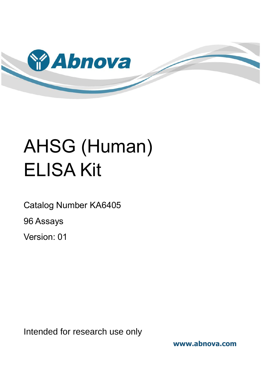

# AHSG (Human) ELISA Kit

Catalog Number KA6405

96 Assays

Version: 01

Intended for research use only

**www.abnova.com**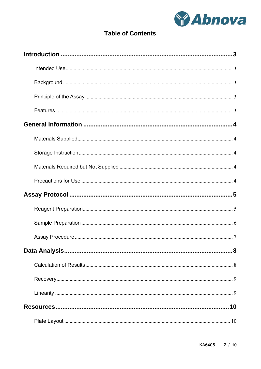

# **Table of Contents**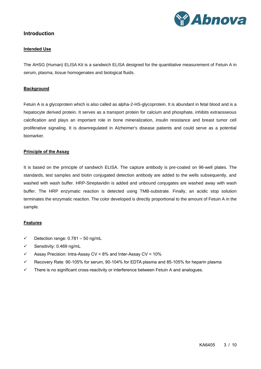

# <span id="page-2-1"></span><span id="page-2-0"></span>**Introduction**

#### **Intended Use**

The AHSG (Human) ELISA Kit is a sandwich ELISA designed for the quantitative measurement of Fetuin A in serum, plasma, tissue homogenates and biological fluids.

#### <span id="page-2-2"></span>**Background**

Fetuin A is a glycoprotein which is also called as alpha-2-HS-glycoprotein. It is abundant in fetal blood and is a hepatocyte derived protein. It serves as a transport protein for calcium and phosphate, inhibits extraosseous calcification and plays an important role in bone mineralization, insulin resistance and breast tumor cell proliferative signaling. It is downregulated in Alzheimer's disease patients and could serve as a potential biomarker.

# <span id="page-2-3"></span>**Principle of the Assay**

It is based on the principle of sandwich ELISA. The capture antibody is pre-coated on 96-well plates. The standards, test samples and biotin conjugated detection antibody are added to the wells subsequently, and washed with wash buffer. HRP-Streptavidin is added and unbound conjugates are washed away with wash buffer. The HRP enzymatic reaction is detected using TMB-substrate. Finally, an acidic stop solution terminates the enzymatic reaction. The color developed is directly proportional to the amount of Fetuin A in the sample.

#### <span id="page-2-4"></span>**Features**

- $\checkmark$  Detection range: 0.781 50 ng/mL
- ✓ Sensitivity: 0.469 ng/mL
- ✓ Assay Precision: Intra-Assay CV < 8% and Inter-Assay CV < 10%
- $\checkmark$  Recovery Rate: 90-105% for serum, 90-104% for EDTA plasma and 85-105% for heparin plasma
- $\checkmark$  There is no significant cross-reactivity or interference between Fetuin A and analogues.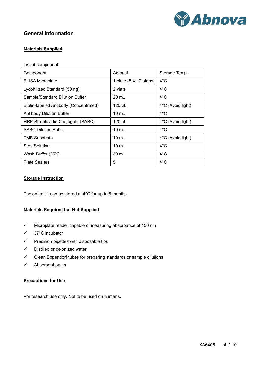

# <span id="page-3-1"></span><span id="page-3-0"></span>**General Information**

# **Materials Supplied**

List of component

| Component                              | Amount                  | Storage Temp.     |
|----------------------------------------|-------------------------|-------------------|
| <b>ELISA Microplate</b>                | 1 plate (8 X 12 strips) | $4^{\circ}$ C     |
| Lyophilized Standard (50 ng)           | 2 vials                 | $4^{\circ}$ C     |
| Sample/Standard Dilution Buffer        | 20 mL                   | $4^{\circ}$ C     |
| Biotin-labeled Antibody (Concentrated) | 120 µL                  | 4°C (Avoid light) |
| <b>Antibody Dilution Buffer</b>        | $10 \text{ mL}$         | $4^{\circ}$ C     |
| HRP-Streptavidin Conjugate (SABC)      | 120 µL                  | 4°C (Avoid light) |
| <b>SABC Dilution Buffer</b>            | $10 \text{ mL}$         | $4^{\circ}$ C     |
| <b>TMB Substrate</b>                   | $10 \text{ mL}$         | 4°C (Avoid light) |
| <b>Stop Solution</b>                   | $10 \text{ mL}$         | $4^{\circ}$ C     |
| Wash Buffer (25X)                      | 30 mL                   | $4^{\circ}$ C     |
| <b>Plate Sealers</b>                   | 5                       | $4^{\circ}$ C     |

# <span id="page-3-2"></span>**Storage Instruction**

<span id="page-3-3"></span>The entire kit can be stored at 4°C for up to 6 months.

# **Materials Required but Not Supplied**

- ✓ Microplate reader capable of measuring absorbance at 450 nm
- ✓ 37°C incubator
- $\checkmark$  Precision pipettes with disposable tips
- ✓ Distilled or deionized water
- ✓ Clean Eppendorf tubes for preparing standards or sample dilutions
- <span id="page-3-4"></span>✓ Absorbent paper

#### **Precautions for Use**

For research use only. Not to be used on humans.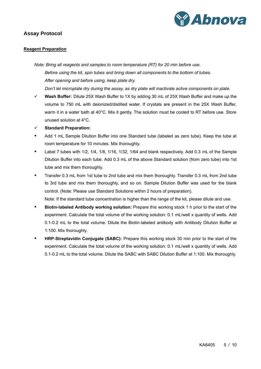

# <span id="page-4-1"></span><span id="page-4-0"></span>**Assay Protocol**

# **Reagent Preparation**

*Note: Bring all reagents and samples to room temperature (RT) for 20 min before use. Before using the kit, spin tubes and bring down all components to the bottom of tubes. After opening and before using, keep plate dry. Don't let microplate dry during the assay, as dry plate will inactivate active components on plate.*

- ✓ **Wash Buffer:** Dilute 25X Wash Buffer to 1X by adding 30 mL of 25X Wash Buffer and make up the volume to 750 mL with deionized/distilled water. If crystals are present in the 25X Wash Buffer, warm it in a water bath at 40°C. Mix it gently. The solution must be cooled to RT before use. Store unused solution at 4°C.
- ✓ **Standard Preparation:**
- Add 1 mL Sample Dilution Buffer into one Standard tube (labeled as zero tube). Keep the tube at room temperature for 10 minutes. Mix thoroughly.
- Label 7 tubes with 1/2, 1/4, 1/8, 1/16, 1/32, 1/64 and blank respectively. Add 0.3 mL of the Sample Dilution Buffer into each tube. Add 0.3 mL of the above Standard solution (from zero tube) into 1st tube and mix them thoroughly.
- Transfer 0.3 mL from 1st tube to 2nd tube and mix them thoroughly. Transfer 0.3 mL from 2nd tube to 3rd tube and mix them thoroughly, and so on. Sample Dilution Buffer was used for the blank control. (Note: Please use Standard Solutions within 2 hours of preparation).

Note: If the standard tube concentration is higher than the range of the kit, please dilute and use.

- **Biotin-labeled Antibody working solution:** Prepare this working stock 1 h prior to the start of the experiment. Calculate the total volume of the working solution: 0.1 mL/well x quantity of wells. Add 0.1-0.2 mL to the total volume. Dilute the Biotin-labeled antibody with Antibody Dilution Buffer at 1:100. Mix thoroughly.
- **HRP-Streptavidin Conjugate (SABC):** Prepare this working stock 30 min prior to the start of the experiment. Calculate the total volume of the working solution: 0.1 mL/well x quantity of wells. Add 0.1-0.2 mL to the total volume. Dilute the SABC with SABC Dilution Buffer at 1:100. Mix thoroughly.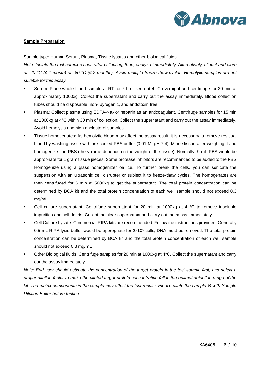

# <span id="page-5-0"></span>**Sample Preparation**

Sample type: Human Serum, Plasma, Tissue lysates and other biological fluids

*Note: Isolate the test samples soon after collecting, then, analyze immediately. Alternatively, aliquot and store at -20 °C (≤ 1 month) or -80 °C (≤ 2 months). Avoid multiple freeze-thaw cycles. Hemolytic samples are not suitable for this assay*

- Serum: Place whole blood sample at RT for 2 h or keep at 4 °C overnight and centrifuge for 20 min at approximately 1000xg. Collect the supernatant and carry out the assay immediately. Blood collection tubes should be disposable, non- pyrogenic, and endotoxin free.
- Plasma: Collect plasma using EDTA-Na<sup>2</sup> or heparin as an anticoagulant. Centrifuge samples for 15 min at 1000xg at 4°C within 30 min of collection. Collect the supernatant and carry out the assay immediately. Avoid hemolysis and high cholesterol samples.
- Tissue homogenates: As hemolytic blood may affect the assay result, it is necessary to remove residual blood by washing tissue with pre-cooled PBS buffer (0.01 M, pH 7.4). Mince tissue after weighing it and homogenize it in PBS (the volume depends on the weight of the tissue). Normally, 9 mL PBS would be appropriate for 1 gram tissue pieces. Some protease inhibitors are recommended to be added to the PBS. Homogenize using a glass homogenizer on ice. To further break the cells, you can sonicate the suspension with an ultrasonic cell disrupter or subject it to freeze-thaw cycles. The homogenates are then centrifuged for 5 min at 5000xg to get the supernatant. The total protein concentration can be determined by BCA kit and the total protein concentration of each well sample should not exceed 0.3 mg/mL.
- Cell culture supernatant: Centrifuge supernatant for 20 min at 1000xg at 4  $^{\circ}$ C to remove insoluble impurities and cell debris. Collect the clear supernatant and carry out the assay immediately.
- Cell Culture Lysate: Commercial RIPA kits are recommended. Follow the instructions provided. Generally, 0.5 mL RIPA lysis buffer would be appropriate for  $2x10<sup>6</sup>$  cells, DNA must be removed. The total protein concentration can be determined by BCA kit and the total protein concentration of each well sample should not exceed 0.3 mg/mL.
- Other Biological fluids: Centrifuge samples for 20 min at 1000xg at 4°C. Collect the supernatant and carry out the assay immediately.

*Note: End user should estimate the concentration of the target protein in the test sample first, and select a proper dilution factor to make the diluted target protein concentration fall in the optimal detection range of the kit. The matrix components in the sample may affect the test results. Please dilute the sample ½ with Sample Dilution Buffer before testing.*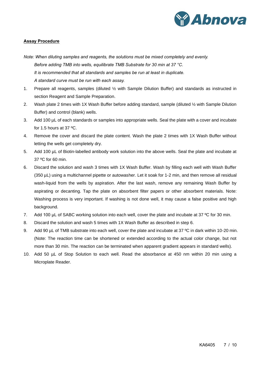

# <span id="page-6-0"></span>**Assay Procedure**

- *Note: When diluting samples and reagents, the solutions must be mixed completely and evenly. Before adding TMB into wells, equilibrate TMB Substrate for 30 min at 37 °C. It is recommended that all standards and samples be run at least in duplicate. A standard curve must be run with each assay.*
- 1. Prepare all reagents, samples (diluted ½ with Sample Dilution Buffer) and standards as instructed in section Reagent and Sample Preparation.
- 2. Wash plate 2 times with 1X Wash Buffer before adding standard, sample (diluted ½ with Sample Dilution Buffer) and control (blank) wells.
- 3. Add 100 µL of each standards or samples into appropriate wells. Seal the plate with a cover and incubate for 1.5 hours at 37 ºC.
- 4. Remove the cover and discard the plate content. Wash the plate 2 times with 1X Wash Buffer without letting the wells get completely dry.
- 5. Add 100 µL of Biotin-labelled antibody work solution into the above wells. Seal the plate and incubate at 37 ºC for 60 min.
- 6. Discard the solution and wash 3 times with 1X Wash Buffer. Wash by filling each well with Wash Buffer (350 µL) using a multichannel pipette or autowasher. Let it soak for 1-2 min, and then remove all residual wash-liquid from the wells by aspiration. After the last wash, remove any remaining Wash Buffer by aspirating or decanting. Tap the plate on absorbent filter papers or other absorbent materials. Note: Washing process is very important. If washing is not done well, it may cause a false positive and high background.
- 7. Add 100 µL of SABC working solution into each well, cover the plate and incubate at 37 °C for 30 min.
- 8. Discard the solution and wash 5 times with 1X Wash Buffer as described in step 6.
- 9. Add 90 µL of TMB substrate into each well, cover the plate and incubate at 37 °C in dark within 10-20 min. (Note: The reaction time can be shortened or extended according to the actual color change, but not more than 30 min. The reaction can be terminated when apparent gradient appears in standard wells).
- 10. Add 50 µL of Stop Solution to each well. Read the absorbance at 450 nm within 20 min using a Microplate Reader.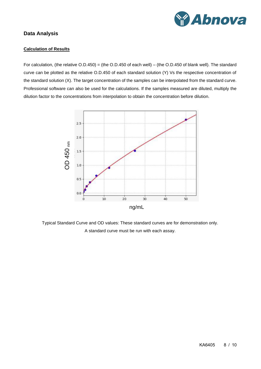

# <span id="page-7-1"></span><span id="page-7-0"></span>**Data Analysis**

# **Calculation of Results**

For calculation, (the relative O.D.450) = (the O.D.450 of each well) – (the O.D.450 of blank well). The standard curve can be plotted as the relative O.D.450 of each standard solution (Y) Vs the respective concentration of the standard solution (X). The target concentration of the samples can be interpolated from the standard curve. Professional software can also be used for the calculations. If the samples measured are diluted, multiply the dilution factor to the concentrations from interpolation to obtain the concentration before dilution.



Typical Standard Curve and OD values: These standard curves are for demonstration only. A standard curve must be run with each assay.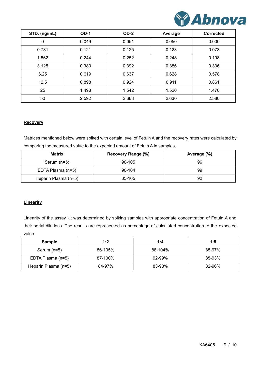

| STD. (ng/mL) | $OD-1$ | $OD-2$ | Average | <b>Corrected</b> |
|--------------|--------|--------|---------|------------------|
| 0            | 0.049  | 0.051  | 0.050   | 0.000            |
| 0.781        | 0.121  | 0.125  | 0.123   | 0.073            |
| 1.562        | 0.244  | 0.252  | 0.248   | 0.198            |
| 3.125        | 0.380  | 0.392  | 0.386   | 0.336            |
| 6.25         | 0.619  | 0.637  | 0.628   | 0.578            |
| 12.5         | 0.898  | 0.924  | 0.911   | 0.861            |
| 25           | 1.498  | 1.542  | 1.520   | 1.470            |
| 50           | 2.592  | 2.668  | 2.630   | 2.580            |

# <span id="page-8-0"></span>**Recovery**

Matrices mentioned below were spiked with certain level of Fetuin A and the recovery rates were calculated by comparing the measured value to the expected amount of Fetuin A in samples.

| <b>Matrix</b>        | Recovery Range (%) | Average (%) |  |  |
|----------------------|--------------------|-------------|--|--|
| Serum $(n=5)$        | 90-105             | 96          |  |  |
| EDTA Plasma (n=5)    | 90-104             | 99          |  |  |
| Heparin Plasma (n=5) | 85-105             | 92          |  |  |

# <span id="page-8-1"></span>**Linearity**

Linearity of the assay kit was determined by spiking samples with appropriate concentration of Fetuin A and their serial dilutions. The results are represented as percentage of calculated concentration to the expected value.

| <b>Sample</b>        | 1:2     | 1:4     | 1:8    |  |
|----------------------|---------|---------|--------|--|
| Serum (n=5)          | 86-105% | 88-104% | 85-97% |  |
| EDTA Plasma (n=5)    | 87-100% | 92-99%  | 85-93% |  |
| Heparin Plasma (n=5) | 84-97%  | 83-98%  | 82-96% |  |